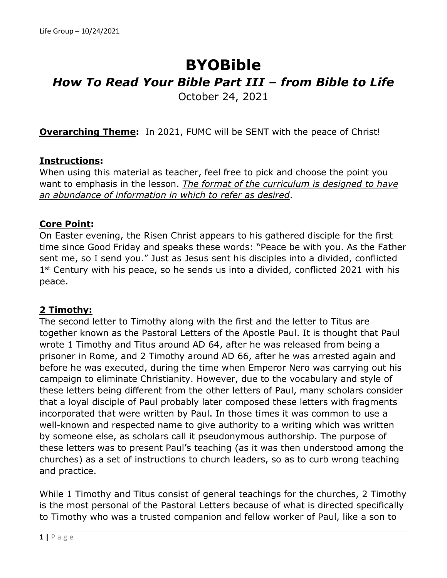# **BYOBible** *How To Read Your Bible Part III – from Bible to Life* October 24, 2021

**Overarching Theme:** In 2021, FUMC will be SENT with the peace of Christ!

## **Instructions:**

When using this material as teacher, feel free to pick and choose the point you want to emphasis in the lesson. *The format of the curriculum is designed to have an abundance of information in which to refer as desired*.

## **Core Point:**

On Easter evening, the Risen Christ appears to his gathered disciple for the first time since Good Friday and speaks these words: "Peace be with you. As the Father sent me, so I send you." Just as Jesus sent his disciples into a divided, conflicted  $1<sup>st</sup>$  Century with his peace, so he sends us into a divided, conflicted 2021 with his peace.

## **2 Timothy:**

The second letter to Timothy along with the first and the letter to Titus are together known as the Pastoral Letters of the Apostle Paul. It is thought that Paul wrote 1 Timothy and Titus around AD 64, after he was released from being a prisoner in Rome, and 2 Timothy around AD 66, after he was arrested again and before he was executed, during the time when Emperor Nero was carrying out his campaign to eliminate Christianity. However, due to the vocabulary and style of these letters being different from the other letters of Paul, many scholars consider that a loyal disciple of Paul probably later composed these letters with fragments incorporated that were written by Paul. In those times it was common to use a well-known and respected name to give authority to a writing which was written by someone else, as scholars call it pseudonymous authorship. The purpose of these letters was to present Paul's teaching (as it was then understood among the churches) as a set of instructions to church leaders, so as to curb wrong teaching and practice.

While 1 Timothy and Titus consist of general teachings for the churches, 2 Timothy is the most personal of the Pastoral Letters because of what is directed specifically to Timothy who was a trusted companion and fellow worker of Paul, like a son to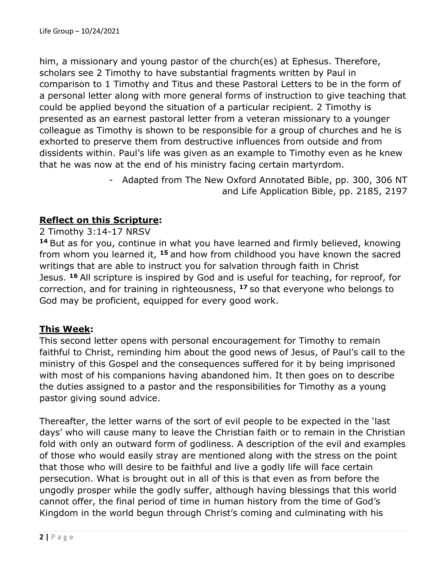him, a missionary and young pastor of the church(es) at Ephesus. Therefore, scholars see 2 Timothy to have substantial fragments written by Paul in comparison to 1 Timothy and Titus and these Pastoral Letters to be in the form of a personal letter along with more general forms of instruction to give teaching that could be applied beyond the situation of a particular recipient. 2 Timothy is presented as an earnest pastoral letter from a veteran missionary to a younger colleague as Timothy is shown to be responsible for a group of churches and he is exhorted to preserve them from destructive influences from outside and from dissidents within. Paul's life was given as an example to Timothy even as he knew that he was now at the end of his ministry facing certain martyrdom.

> - Adapted from The New Oxford Annotated Bible, pp. 300, 306 NT and Life Application Bible, pp. 2185, 2197

## **Reflect on this Scripture:**

2 Timothy 3:14-17 NRSV

**<sup>14</sup>** But as for you, continue in what you have learned and firmly believed, knowing from whom you learned it, **<sup>15</sup>** and how from childhood you have known the sacred writings that are able to instruct you for salvation through faith in Christ Jesus. **<sup>16</sup>** All scripture is inspired by God and is useful for teaching, for reproof, for correction, and for training in righteousness, **<sup>17</sup>** so that everyone who belongs to God may be proficient, equipped for every good work.

## **This Week:**

This second letter opens with personal encouragement for Timothy to remain faithful to Christ, reminding him about the good news of Jesus, of Paul's call to the ministry of this Gospel and the consequences suffered for it by being imprisoned with most of his companions having abandoned him. It then goes on to describe the duties assigned to a pastor and the responsibilities for Timothy as a young pastor giving sound advice.

Thereafter, the letter warns of the sort of evil people to be expected in the 'last days' who will cause many to leave the Christian faith or to remain in the Christian fold with only an outward form of godliness. A description of the evil and examples of those who would easily stray are mentioned along with the stress on the point that those who will desire to be faithful and live a godly life will face certain persecution. What is brought out in all of this is that even as from before the ungodly prosper while the godly suffer, although having blessings that this world cannot offer, the final period of time in human history from the time of God's Kingdom in the world begun through Christ's coming and culminating with his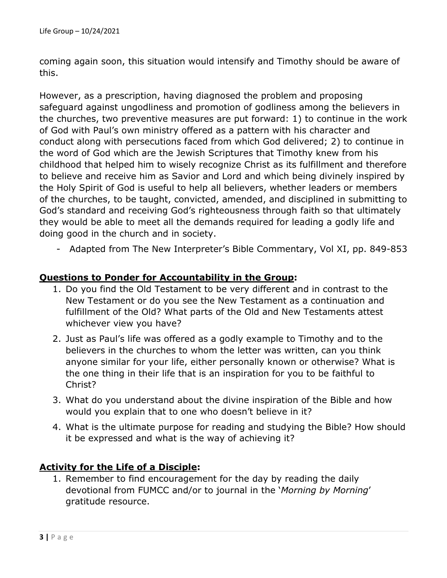coming again soon, this situation would intensify and Timothy should be aware of this.

However, as a prescription, having diagnosed the problem and proposing safeguard against ungodliness and promotion of godliness among the believers in the churches, two preventive measures are put forward: 1) to continue in the work of God with Paul's own ministry offered as a pattern with his character and conduct along with persecutions faced from which God delivered; 2) to continue in the word of God which are the Jewish Scriptures that Timothy knew from his childhood that helped him to wisely recognize Christ as its fulfillment and therefore to believe and receive him as Savior and Lord and which being divinely inspired by the Holy Spirit of God is useful to help all believers, whether leaders or members of the churches, to be taught, convicted, amended, and disciplined in submitting to God's standard and receiving God's righteousness through faith so that ultimately they would be able to meet all the demands required for leading a godly life and doing good in the church and in society.

- Adapted from The New Interpreter's Bible Commentary, Vol XI, pp. 849-853

## **Questions to Ponder for Accountability in the Group:**

- 1. Do you find the Old Testament to be very different and in contrast to the New Testament or do you see the New Testament as a continuation and fulfillment of the Old? What parts of the Old and New Testaments attest whichever view you have?
- 2. Just as Paul's life was offered as a godly example to Timothy and to the believers in the churches to whom the letter was written, can you think anyone similar for your life, either personally known or otherwise? What is the one thing in their life that is an inspiration for you to be faithful to Christ?
- 3. What do you understand about the divine inspiration of the Bible and how would you explain that to one who doesn't believe in it?
- 4. What is the ultimate purpose for reading and studying the Bible? How should it be expressed and what is the way of achieving it?

## **Activity for the Life of a Disciple:**

1. Remember to find encouragement for the day by reading the daily devotional from FUMCC and/or to journal in the '*Morning by Morning*' gratitude resource.